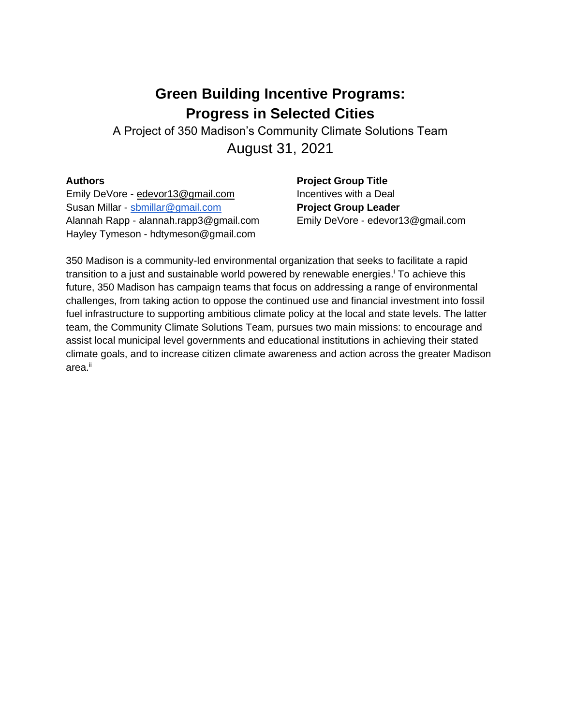# **Green Building Incentive Programs: Progress in Selected Cities**

A Project of 350 Madison's Community Climate Solutions Team August 31, 2021

### **Authors**

Emily DeVore - [edevor13@gmail.com](mailto:edevor13@gmail.com) Susan Millar - [sbmillar@gmail.com](mailto:sbmillar@gmail.com) Alannah Rapp - alannah.rapp3@gmail.com Hayley Tymeson - hdtymeson@gmail.com

**Project Group Title** Incentives with a Deal **Project Group Leader**  Emily DeVore - edevor13@gmail.com

350 Madison is a community-led environmental organization that seeks to facilitate a rapid transition to a just and sustainable world powered by renewable energies.<sup>i</sup> To achieve this future, 350 Madison has campaign teams that focus on addressing a range of environmental challenges, from taking action to oppose the continued use and financial investment into fossil fuel infrastructure to supporting ambitious climate policy at the local and state levels. The latter team, the Community Climate Solutions Team, pursues two main missions: to encourage and assist local municipal level governments and educational institutions in achieving their stated climate goals, and to increase citizen climate awareness and action across the greater Madison area.ii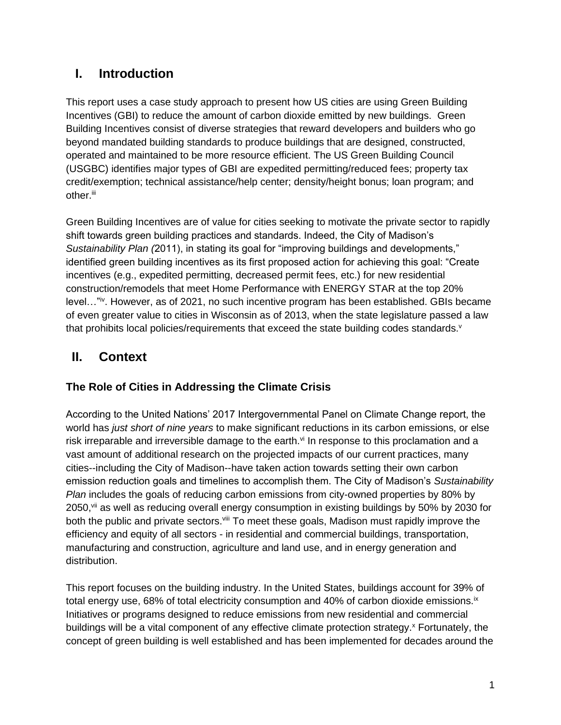# **I. Introduction**

This report uses a case study approach to present how US cities are using Green Building Incentives (GBI) to reduce the amount of carbon dioxide emitted by new buildings. Green Building Incentives consist of diverse strategies that reward developers and builders who go beyond mandated building standards to produce buildings that are designed, constructed, operated and maintained to be more resource efficient. The US Green Building Council (USGBC) identifies major types of GBI are expedited permitting/reduced fees; property tax credit/exemption; technical assistance/help center; density/height bonus; loan program; and other.<sup>iii</sup>

Green Building Incentives are of value for cities seeking to motivate the private sector to rapidly shift towards green building practices and standards. Indeed, the City of Madison's *Sustainability Plan (*2011), in stating its goal for "improving buildings and developments," identified green building incentives as its first proposed action for achieving this goal: "Create incentives (e.g., expedited permitting, decreased permit fees, etc.) for new residential construction/remodels that meet Home Performance with ENERGY STAR at the top 20% level…"iv. However, as of 2021, no such incentive program has been established. GBIs became of even greater value to cities in Wisconsin as of 2013, when the state legislature passed a law that prohibits local policies/requirements that exceed the state building codes standards.<sup>v</sup>

# **II. Context**

## **The Role of Cities in Addressing the Climate Crisis**

According to the United Nations' 2017 Intergovernmental Panel on Climate Change report, the world has *just short of nine years* to make significant reductions in its carbon emissions, or else risk irreparable and irreversible damage to the earth.<sup>vi</sup> In response to this proclamation and a vast amount of additional research on the projected impacts of our current practices, many cities--including the City of Madison--have taken action towards setting their own carbon emission reduction goals and timelines to accomplish them. The City of Madison's *Sustainability Plan* includes the goals of reducing carbon emissions from city-owned properties by 80% by 2050, vii as well as reducing overall energy consumption in existing buildings by 50% by 2030 for both the public and private sectors.<sup>viii</sup> To meet these goals, Madison must rapidly improve the efficiency and equity of all sectors - in residential and commercial buildings, transportation, manufacturing and construction, agriculture and land use, and in energy generation and distribution.

This report focuses on the building industry. In the United States, buildings account for 39% of total energy use, 68% of total electricity consumption and 40% of carbon dioxide emissions.<sup>ix</sup> Initiatives or programs designed to reduce emissions from new residential and commercial buildings will be a vital component of any effective climate protection strategy.<sup>x</sup> Fortunately, the concept of green building is well established and has been implemented for decades around the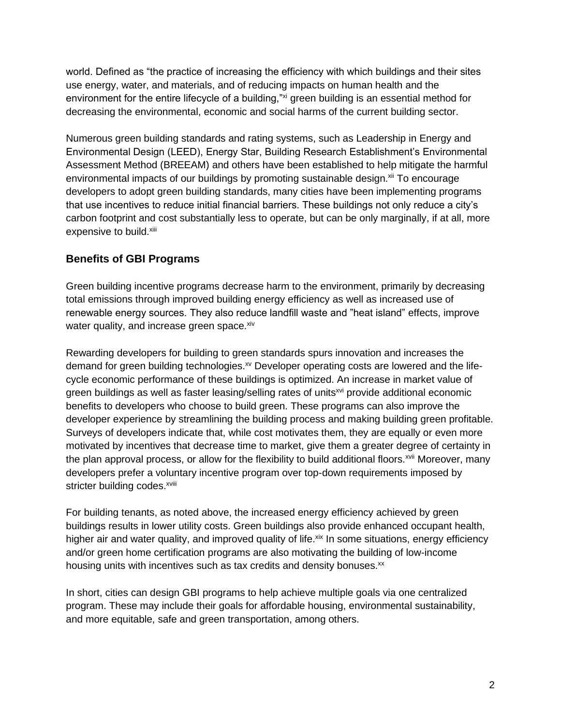world. Defined as "the practice of increasing the efficiency with which buildings and their sites use energy, water, and materials, and of reducing impacts on human health and the environment for the entire lifecycle of a building,"xi green building is an essential method for decreasing the environmental, economic and social harms of the current building sector.

Numerous green building standards and rating systems, such as Leadership in Energy and Environmental Design (LEED), Energy Star, Building Research Establishment's Environmental Assessment Method (BREEAM) and others have been established to help mitigate the harmful environmental impacts of our buildings by promoting sustainable design.<sup>xii</sup> To encourage developers to adopt green building standards, many cities have been implementing programs that use incentives to reduce initial financial barriers. These buildings not only reduce a city's carbon footprint and cost substantially less to operate, but can be only marginally, if at all, more expensive to build.xiii

## **Benefits of GBI Programs**

Green building incentive programs decrease harm to the environment, primarily by decreasing total emissions through improved building energy efficiency as well as increased use of renewable energy sources. They also reduce landfill waste and "heat island" effects, improve water quality, and increase green space. xiv

Rewarding developers for building to green standards spurs innovation and increases the demand for green building technologies.<sup>xv</sup> Developer operating costs are lowered and the lifecycle economic performance of these buildings is optimized. An increase in market value of green buildings as well as faster leasing/selling rates of units<sup>xvi</sup> provide additional economic benefits to developers who choose to build green. These programs can also improve the developer experience by streamlining the building process and making building green profitable. Surveys of developers indicate that, while cost motivates them, they are equally or even more motivated by incentives that decrease time to market, give them a greater degree of certainty in the plan approval process, or allow for the flexibility to build additional floors.<sup>xvii</sup> Moreover, many developers prefer a voluntary incentive program over top-down requirements imposed by stricter building codes.<sup>xviii</sup>

For building tenants, as noted above, the increased energy efficiency achieved by green buildings results in lower utility costs. Green buildings also provide enhanced occupant health, higher air and water quality, and improved quality of life. xix In some situations, energy efficiency and/or green home certification programs are also motivating the building of low-income housing units with incentives such as tax credits and density bonuses.<sup>xx</sup>

In short, cities can design GBI programs to help achieve multiple goals via one centralized program. These may include their goals for affordable housing, environmental sustainability, and more equitable, safe and green transportation, among others.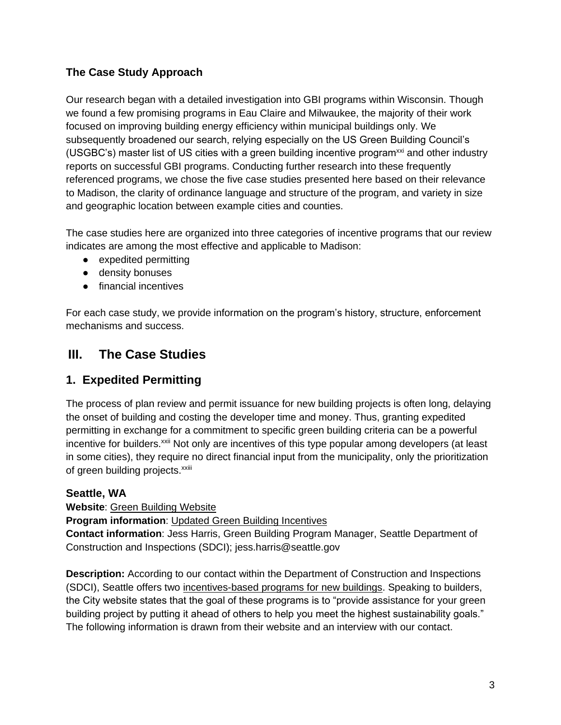## **The Case Study Approach**

Our research began with a detailed investigation into GBI programs within Wisconsin. Though we found a few promising programs in Eau Claire and Milwaukee, the majority of their work focused on improving building energy efficiency within municipal buildings only. We subsequently broadened our search, relying especially on the US Green Building Council's (USGBC's) master list of US cities with a green building incentive program<sup>xxi</sup> and other industry reports on successful GBI programs. Conducting further research into these frequently referenced programs, we chose the five case studies presented here based on their relevance to Madison, the clarity of ordinance language and structure of the program, and variety in size and geographic location between example cities and counties.

The case studies here are organized into three categories of incentive programs that our review indicates are among the most effective and applicable to Madison:

- expedited permitting
- density bonuses
- financial incentives

For each case study, we provide information on the program's history, structure, enforcement mechanisms and success.

# **III. The Case Studies**

# **1. Expedited Permitting**

The process of plan review and permit issuance for new building projects is often long, delaying the onset of building and costing the developer time and money. Thus, granting expedited permitting in exchange for a commitment to specific green building criteria can be a powerful incentive for builders.<sup>xxii</sup> Not only are incentives of this type popular among developers (at least in some cities), they require no direct financial input from the municipality, only the prioritization of green building projects.<sup>xxiii</sup>

### **Seattle, WA**

**Website**: [Green Building Website](http://www.seattle.gov/sdci/permits/green-building)

**Program information**: [Updated Green Building Incentives](https://buildingconnections.seattle.gov/2021/04/06/updated-green-building-incentives/) 

**Contact information**: Jess Harris, Green Building Program Manager, Seattle Department of Construction and Inspections (SDCI); jess.harris@seattle.gov

**Description:** According to our contact within the Department of Construction and Inspections (SDCI), Seattle offers two [incentives-based programs for new buildings.](https://buildingconnections.seattle.gov/2021/04/06/updated-green-building-incentives/) Speaking to builders, the City website states that the goal of these programs is to "provide assistance for your green building project by putting it ahead of others to help you meet the highest sustainability goals." The following information is drawn from their website and an interview with our contact.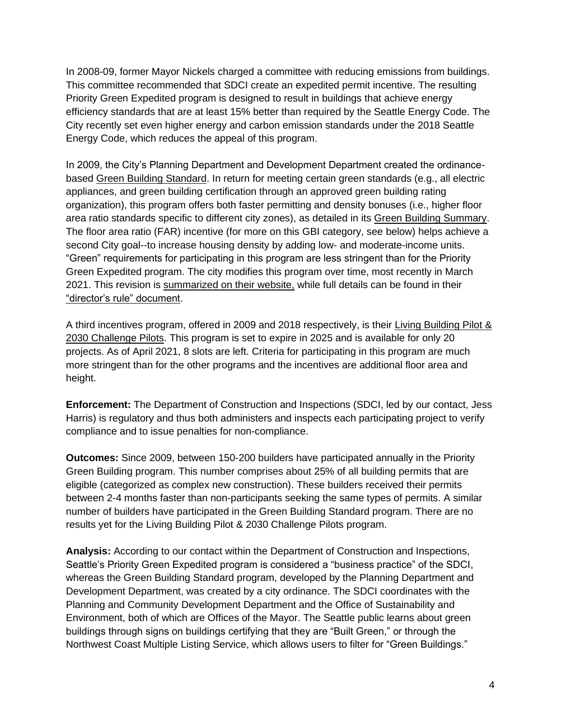In 2008-09, former Mayor Nickels charged a committee with reducing emissions from buildings. This committee recommended that SDCI create an expedited permit incentive. The resulting [Priority Green Expedited](http://www.seattle.gov/sdci/permits/green-building/priority-green-expedited) program is designed to result in buildings that achieve energy efficiency standards that are at least 15% better than required by the Seattle Energy Code. The City recently set even higher energy and carbon emission standards under the 2018 Seattle Energy Code, which reduces the appeal of this program.

In 2009, the City's Planning Department and Development Department created the ordinancebased [Green Building Standard.](http://www.seattle.gov/sdci/permits/green-building) In return for meeting certain green standards (e.g., all electric appliances, and green building certification through an approved green building rating organization), this program offers both faster permitting and density bonuses (i.e., higher floor area ratio standards specific to different city zones), as detailed in its [Green Building Summary.](http://www.seattle.gov/Documents/Departments/SDCI/Permits/GreenBuildingStandard.pdf) The floor area ratio (FAR) incentive (for more on this GBI category, see below) helps achieve a second City goal--to increase housing density by adding low- and moderate-income units. "Green" requirements for participating in this program are less stringent than for the Priority Green Expedited program. The city modifies this program over time, most recently in March 2021. This revision is [summarized on their website,](https://buildingconnections.seattle.gov/2021/04/06/updated-green-building-incentives/) while full details can be found in their ["director's rule" document.](http://www.seattle.gov/dpd/codes/dr/DR2021-4.pdf)

A third incentives program, offered in 2009 and 2018 respectively, is their Living Building Pilot & [2030 Challenge Pilots.](http://www.seattle.gov/sdci/permits/green-building/living-building-and-2030-challenge-pilots) This program is set to expire in 2025 and is available for only 20 projects. As of April 2021, 8 slots are left. Criteria for participating in this program are much more stringent than for the other programs and the incentives are additional floor area and height.

**Enforcement:** The Department of Construction and Inspections (SDCI, led by our contact, Jess Harris) is regulatory and thus both administers and inspects each participating project to verify compliance and to issue penalties for non-compliance.

**Outcomes:** Since 2009, between 150-200 builders have participated annually in the Priority Green Building program. This number comprises about 25% of all building permits that are eligible (categorized as complex new construction). These builders received their permits between 2-4 months faster than non-participants seeking the same types of permits. A similar number of builders have participated in the Green Building Standard program. There are no results yet for the Living Building Pilot & 2030 Challenge Pilots program.

**Analysis:** According to our contact within the Department of Construction and Inspections, Seattle's Priority Green Expedited program is considered a "business practice" of the SDCI, whereas the Green Building Standard program, developed by the Planning Department and Development Department, was created by a city ordinance. The SDCI coordinates with the Planning and Community Development Department and the Office of Sustainability and Environment, both of which are Offices of the Mayor. The Seattle public learns about green buildings through signs on buildings certifying that they are "Built Green," or through the Northwest Coast Multiple Listing Service, which allows users to filter for "Green Buildings."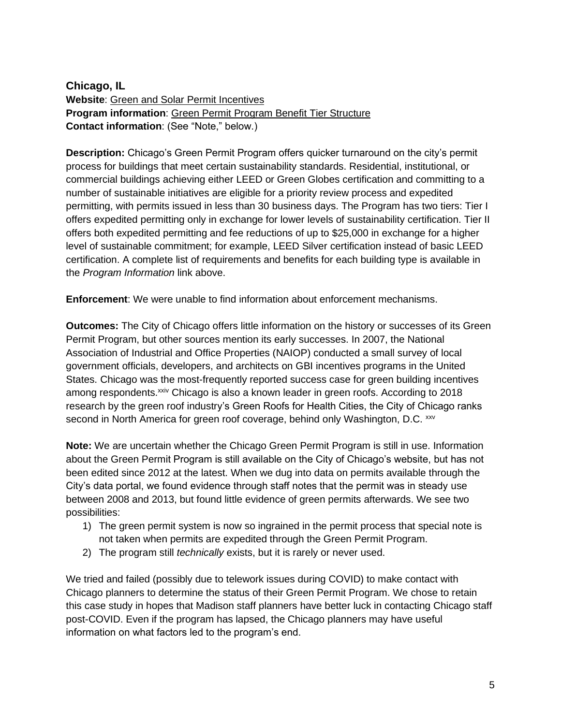**Chicago, IL Website**: [Green and Solar Permit Incentives](https://www.chicago.gov/city/en/depts/bldgs/provdrs/permits/svcs/green-permits.html) **Program information**: [Green Permit Program Benefit Tier Structure](https://www.chicago.gov/content/dam/city/depts/bldgs/general/GreenPermit/2014GreenPermitRequirements.pdf) **Contact information**: (See "Note," below.)

**Description:** Chicago's Green Permit Program offers quicker turnaround on the city's permit process for buildings that meet certain sustainability standards. Residential, institutional, or commercial buildings achieving either LEED or Green Globes certification and committing to a number of sustainable initiatives are eligible for a priority review process and expedited permitting, with permits issued in less than 30 business days. The Program has two tiers: Tier I offers expedited permitting only in exchange for lower levels of sustainability certification. Tier II offers both expedited permitting and fee reductions of up to \$25,000 in exchange for a higher level of sustainable commitment; for example, LEED Silver certification instead of basic LEED certification. A complete list of requirements and benefits for each building type is available in the *Program Information* link above.

**Enforcement**: We were unable to find information about enforcement mechanisms.

**Outcomes:** The City of Chicago offers little information on the history or successes of its Green Permit Program, but other sources mention its early successes. In 2007, the National Association of Industrial and Office Properties (NAIOP) conducted a small survey of local government officials, developers, and architects on GBI incentives programs in the United States. Chicago was the most-frequently reported success case for green building incentives among respondents.<sup>xxiv</sup> Chicago is also a known leader in green roofs. According to 2018 research by the green roof industry's Green Roofs for Health Cities, the City of Chicago ranks second in North America for green roof coverage, behind only Washington, D.C. xxv

**Note:** We are uncertain whether the Chicago Green Permit Program is still in use. Information about the Green Permit Program is still available on the City of Chicago's website, but has not been edited since 2012 at the latest. When we dug into data on permits available through the City's data portal, we found evidence through staff notes that the permit was in steady use between 2008 and 2013, but found little evidence of green permits afterwards. We see two possibilities:

- 1) The green permit system is now so ingrained in the permit process that special note is not taken when permits are expedited through the Green Permit Program.
- 2) The program still *technically* exists, but it is rarely or never used.

We tried and failed (possibly due to telework issues during COVID) to make contact with Chicago planners to determine the status of their Green Permit Program. We chose to retain this case study in hopes that Madison staff planners have better luck in contacting Chicago staff post-COVID. Even if the program has lapsed, the Chicago planners may have useful information on what factors led to the program's end.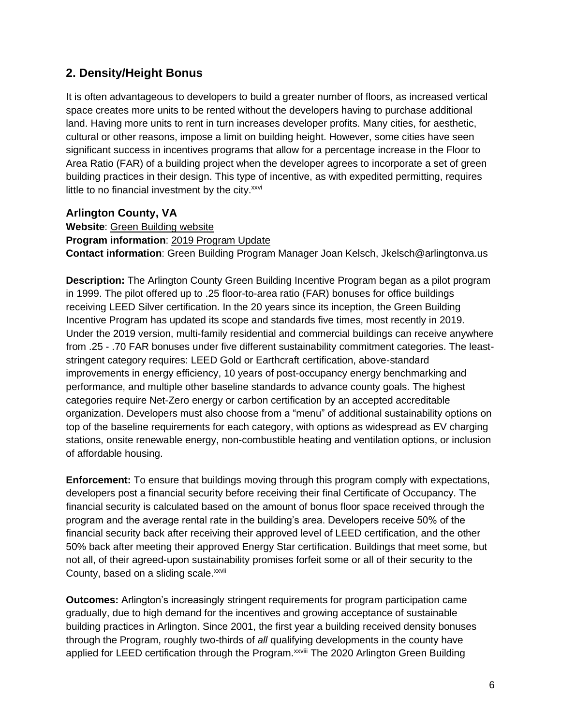## **2. Density/Height Bonus**

It is often advantageous to developers to build a greater number of floors, as increased vertical space creates more units to be rented without the developers having to purchase additional land. Having more units to rent in turn increases developer profits. Many cities, for aesthetic, cultural or other reasons, impose a limit on building height. However, some cities have seen significant success in incentives programs that allow for a percentage increase in the Floor to Area Ratio (FAR) of a building project when the developer agrees to incorporate a set of green building practices in their design. This type of incentive, as with expedited permitting, requires little to no financial investment by the city. $x_{xx}$ 

### **Arlington County, VA**

**Website**: [Green Building website](https://environment.arlingtonva.us/energy/green-building/)

**Program information**: [2019 Program Update](https://environment.arlingtonva.us/wp-content/uploads/sites/13/2020/12/Board_Report_35-FINAL.pdf)

**Contact information**: Green Building Program Manager Joan Kelsch, Jkelsch@arlingtonva.us

**Description:** The Arlington County Green Building Incentive Program began as a pilot program in 1999. The pilot offered up to .25 floor-to-area ratio (FAR) bonuses for office buildings receiving LEED Silver certification. In the 20 years since its inception, the Green Building Incentive Program has updated its scope and standards five times, most recently in 2019. Under the 2019 version, multi-family residential and commercial buildings can receive anywhere from .25 - .70 FAR bonuses under five different sustainability commitment categories. The leaststringent category requires: LEED Gold or Earthcraft certification, above-standard improvements in energy efficiency, 10 years of post-occupancy energy benchmarking and performance, and multiple other baseline standards to advance county goals. The highest categories require Net-Zero energy or carbon certification by an accepted accreditable organization. Developers must also choose from a "menu" of additional sustainability options on top of the baseline requirements for each category, with options as widespread as EV charging stations, onsite renewable energy, non-combustible heating and ventilation options, or inclusion of affordable housing.

**Enforcement:** To ensure that buildings moving through this program comply with expectations, developers post a financial security before receiving their final Certificate of Occupancy. The financial security is calculated based on the amount of bonus floor space received through the program and the average rental rate in the building's area. Developers receive 50% of the financial security back after receiving their approved level of LEED certification, and the other 50% back after meeting their approved Energy Star certification. Buildings that meet some, but not all, of their agreed-upon sustainability promises forfeit some or all of their security to the County, based on a sliding scale.<sup>xxvii</sup>

**Outcomes:** Arlington's increasingly stringent requirements for program participation came gradually, due to high demand for the incentives and growing acceptance of sustainable building practices in Arlington. Since 2001, the first year a building received density bonuses through the Program, roughly two-thirds of *all* qualifying developments in the county have applied for LEED certification through the Program.<sup>xxviii</sup> The 2020 Arlington Green Building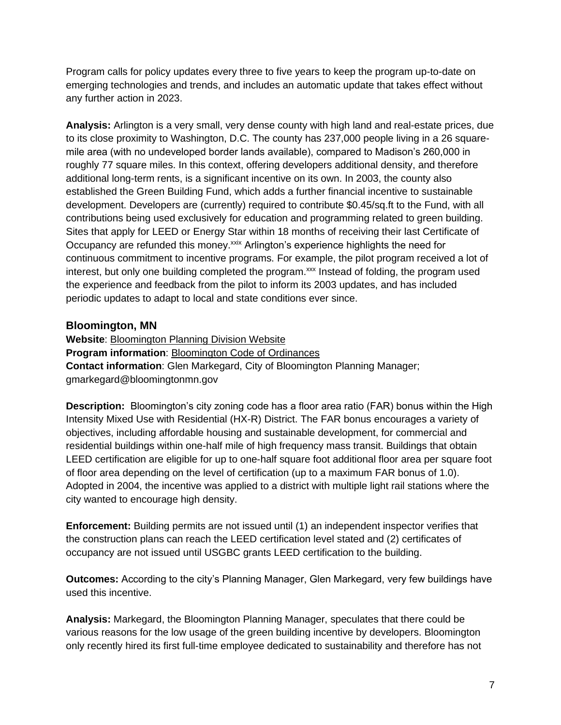Program calls for policy updates every three to five years to keep the program up-to-date on emerging technologies and trends, and includes an automatic update that takes effect without any further action in 2023.

**Analysis:** Arlington is a very small, very dense county with high land and real-estate prices, due to its close proximity to Washington, D.C. The county has 237,000 people living in a 26 squaremile area (with no undeveloped border lands available), compared to Madison's 260,000 in roughly 77 square miles. In this context, offering developers additional density, and therefore additional long-term rents, is a significant incentive on its own. In 2003, the county also established the Green Building Fund, which adds a further financial incentive to sustainable development. Developers are (currently) required to contribute \$0.45/sq.ft to the Fund, with all contributions being used exclusively for education and programming related to green building. Sites that apply for LEED or Energy Star within 18 months of receiving their last Certificate of Occupancy are refunded this money.<sup>xxix</sup> Arlington's experience highlights the need for continuous commitment to incentive programs. For example, the pilot program received a lot of interest, but only one building completed the program.<sup>xxx</sup> Instead of folding, the program used the experience and feedback from the pilot to inform its 2003 updates, and has included periodic updates to adapt to local and state conditions ever since.

### **Bloomington, MN**

**Website**: [Bloomington Planning Division Website](https://www.bloomingtonmn.gov/plan/planning-division) **Program information**: [Bloomington Code of Ordinances](https://codelibrary.amlegal.com/codes/bloomington/latest/bloomington_mn/0-0-0-104299) **Contact information**: Glen Markegard, City of Bloomington Planning Manager; gmarkegard@bloomingtonmn.gov

**Description:** Bloomington's city zoning code has a floor area ratio (FAR) bonus within the High Intensity Mixed Use with Residential (HX-R) District. The FAR bonus encourages a variety of objectives, including affordable housing and sustainable development, for commercial and residential buildings within one-half mile of high frequency mass transit. Buildings that obtain LEED certification are eligible for up to one-half square foot additional floor area per square foot of floor area depending on the level of certification (up to a maximum FAR bonus of 1.0). Adopted in 2004, the incentive was applied to a district with multiple light rail stations where the city wanted to encourage high density.

**Enforcement:** Building permits are not issued until (1) an independent inspector verifies that the construction plans can reach the LEED certification level stated and (2) certificates of occupancy are not issued until USGBC grants LEED certification to the building.

**Outcomes:** According to the city's Planning Manager, Glen Markegard, very few buildings have used this incentive.

**Analysis:** Markegard, the Bloomington Planning Manager, speculates that there could be various reasons for the low usage of the green building incentive by developers. Bloomington only recently hired its first full-time employee dedicated to sustainability and therefore has not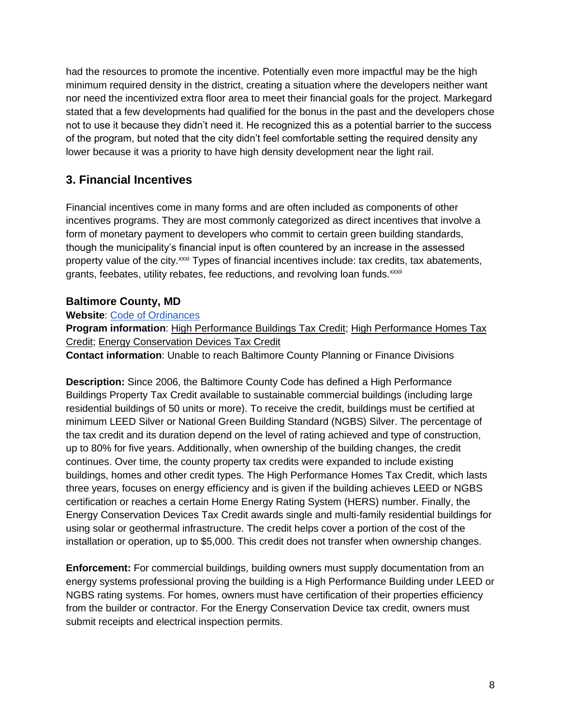had the resources to promote the incentive. Potentially even more impactful may be the high minimum required density in the district, creating a situation where the developers neither want nor need the incentivized extra floor area to meet their financial goals for the project. Markegard stated that a few developments had qualified for the bonus in the past and the developers chose not to use it because they didn't need it. He recognized this as a potential barrier to the success of the program, but noted that the city didn't feel comfortable setting the required density any lower because it was a priority to have high density development near the light rail.

# **3. Financial Incentives**

Financial incentives come in many forms and are often included as components of other incentives programs. They are most commonly categorized as direct incentives that involve a form of monetary payment to developers who commit to certain green building standards, though the municipality's financial input is often countered by an increase in the assessed property value of the city.<sup>xxxi</sup> Types of financial incentives include: tax credits, tax abatements, grants, feebates, utility rebates, fee reductions, and revolving loan funds.<sup>xxxii</sup>

## **Baltimore County, MD**

**Website**: [Code of Ordinances](https://library.municode.com/md/baltimore_county/codes/code_of_ordinances?nodeId=ART11TA_TIT2ADVATA_SUBTITLE_2PRTACRIM)

**Program information**: [High Performance Buildings Tax Credit;](https://www.baltimorecountymd.gov/departments/budfin/taxpayerservices/taxcredits/performancebuildings.html) [High Performance Homes Tax](https://www.baltimorecountymd.gov/departments/budfin/taxpayerservices/taxcredits/performancehomes.html)  [Credit;](https://www.baltimorecountymd.gov/departments/budfin/taxpayerservices/taxcredits/performancehomes.html) [Energy Conservation Devices Tax Credit](https://www.baltimorecountymd.gov/departments/budfin/taxpayerservices/taxcredits/energy.html)

**Contact information**: Unable to reach Baltimore County Planning or Finance Divisions

**Description:** Since 2006, the Baltimore County Code has defined a High Performance Buildings Property Tax Credit available to sustainable commercial buildings (including large residential buildings of 50 units or more). To receive the credit, buildings must be certified at minimum LEED Silver or National Green Building Standard (NGBS) Silver. The percentage of the tax credit and its duration depend on the level of rating achieved and type of construction, up to 80% for five years. Additionally, when ownership of the building changes, the credit continues. Over time, the county property tax credits were expanded to include existing buildings, homes and other credit types. The High Performance Homes Tax Credit, which lasts three years, focuses on energy efficiency and is given if the building achieves LEED or NGBS certification or reaches a certain Home Energy Rating System (HERS) number. Finally, the Energy Conservation Devices Tax Credit awards single and multi-family residential buildings for using solar or geothermal infrastructure. The credit helps cover a portion of the cost of the installation or operation, up to \$5,000. This credit does not transfer when ownership changes.

**Enforcement:** For commercial buildings, building owners must supply documentation from an energy systems professional proving the building is a High Performance Building under LEED or NGBS rating systems. For homes, owners must have certification of their properties efficiency from the builder or contractor. For the Energy Conservation Device tax credit, owners must submit receipts and electrical inspection permits.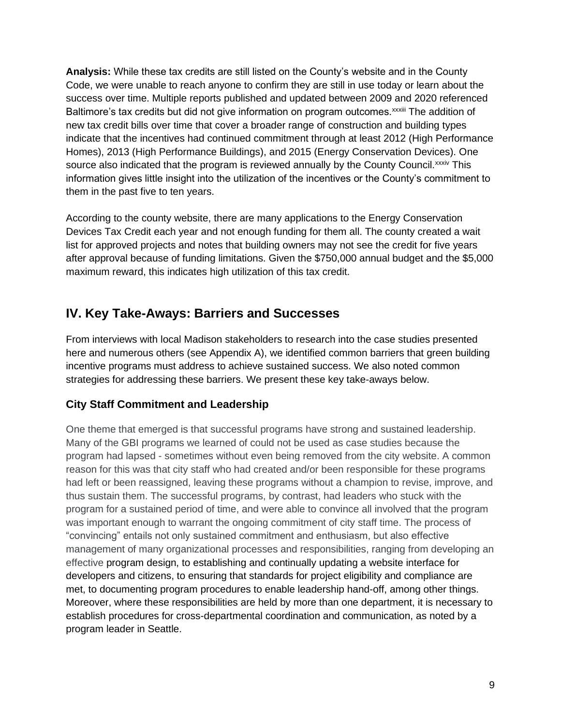**Analysis:** While these tax credits are still listed on the County's website and in the County Code, we were unable to reach anyone to confirm they are still in use today or learn about the success over time. Multiple reports published and updated between 2009 and 2020 referenced Baltimore's tax credits but did not give information on program outcomes.<sup>xxxiii</sup> The addition of new tax credit bills over time that cover a broader range of construction and building types indicate that the incentives had continued commitment through at least 2012 (High Performance Homes), 2013 (High Performance Buildings), and 2015 (Energy Conservation Devices). One source also indicated that the program is reviewed annually by the County Council. XXXIV This information gives little insight into the utilization of the incentives or the County's commitment to them in the past five to ten years.

According to the county website, there are many applications to the Energy Conservation Devices Tax Credit each year and not enough funding for them all. The county created a wait list for approved projects and notes that building owners may not see the credit for five years after approval because of funding limitations. Given the \$750,000 annual budget and the \$5,000 maximum reward, this indicates high utilization of this tax credit.

# **IV. Key Take-Aways: Barriers and Successes**

From interviews with local Madison stakeholders to research into the case studies presented here and numerous others (see Appendix A), we identified common barriers that green building incentive programs must address to achieve sustained success. We also noted common strategies for addressing these barriers. We present these key take-aways below.

## **City Staff Commitment and Leadership**

One theme that emerged is that successful programs have strong and sustained leadership. Many of the GBI programs we learned of could not be used as case studies because the program had lapsed - sometimes without even being removed from the city website. A common reason for this was that city staff who had created and/or been responsible for these programs had left or been reassigned, leaving these programs without a champion to revise, improve, and thus sustain them. The successful programs, by contrast, had leaders who stuck with the program for a sustained period of time, and were able to convince all involved that the program was important enough to warrant the ongoing commitment of city staff time. The process of "convincing" entails not only sustained commitment and enthusiasm, but also effective management of many organizational processes and responsibilities, ranging from developing an effective program design, to establishing and continually updating a website interface for developers and citizens, to ensuring that standards for project eligibility and compliance are met, to documenting program procedures to enable leadership hand-off, among other things. Moreover, where these responsibilities are held by more than one department, it is necessary to establish procedures for cross-departmental coordination and communication, as noted by a program leader in Seattle.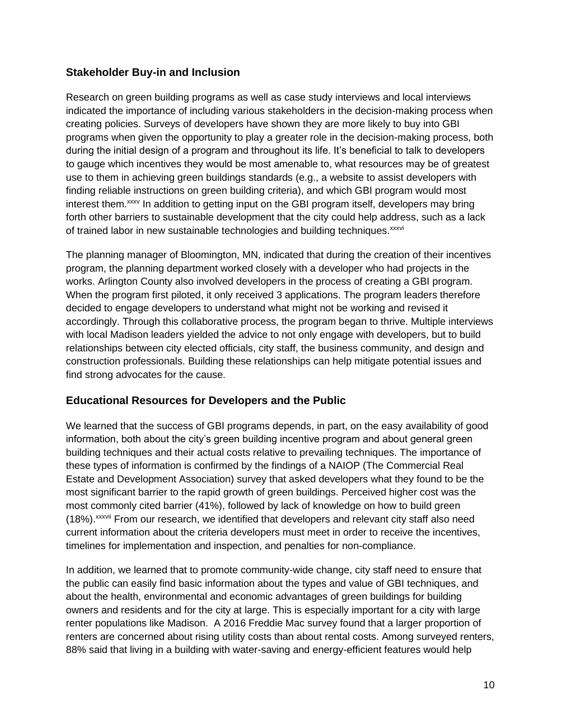### **Stakeholder Buy-in and Inclusion**

Research on green building programs as well as case study interviews and local interviews indicated the importance of including various stakeholders in the decision-making process when creating policies. Surveys of developers have shown they are more likely to buy into GBI programs when given the opportunity to play a greater role in the decision-making process, both during the initial design of a program and throughout its life. It's beneficial to talk to developers to gauge which incentives they would be most amenable to, what resources may be of greatest use to them in achieving green buildings standards (e.g., a website to assist developers with finding reliable instructions on green building criteria), and which GBI program would most interest them.<sup>xxxv</sup> In addition to getting input on the GBI program itself, developers may bring forth other barriers to sustainable development that the city could help address, such as a lack of trained labor in new sustainable technologies and building techniques.<sup>xxxvi</sup>

The planning manager of Bloomington, MN, indicated that during the creation of their incentives program, the planning department worked closely with a developer who had projects in the works. Arlington County also involved developers in the process of creating a GBI program. When the program first piloted, it only received 3 applications. The program leaders therefore decided to engage developers to understand what might not be working and revised it accordingly. Through this collaborative process, the program began to thrive. Multiple interviews with local Madison leaders yielded the advice to not only engage with developers, but to build relationships between city elected officials, city staff, the business community, and design and construction professionals. Building these relationships can help mitigate potential issues and find strong advocates for the cause.

### **Educational Resources for Developers and the Public**

We learned that the success of GBI programs depends, in part, on the easy availability of good information, both about the city's green building incentive program and about general green building techniques and their actual costs relative to prevailing techniques. The importance of these types of information is confirmed by the findings of a NAIOP (The Commercial Real Estate and Development Association) survey that asked developers what they found to be the most significant barrier to the rapid growth of green buildings. Perceived higher cost was the most commonly cited barrier (41%), followed by lack of knowledge on how to build green (18%).xxxvii From our research, we identified that developers and relevant city staff also need current information about the criteria developers must meet in order to receive the incentives, timelines for implementation and inspection, and penalties for non-compliance.

In addition, we learned that to promote community-wide change, city staff need to ensure that the public can easily find basic information about the types and value of GBI techniques, and about the health, environmental and economic advantages of green buildings for building owners and residents and for the city at large. This is especially important for a city with large renter populations like Madison. A 2016 Freddie Mac survey found that a larger proportion of renters are concerned about rising utility costs than about rental costs. Among surveyed renters, 88% said that living in a building with water-saving and energy-efficient features would help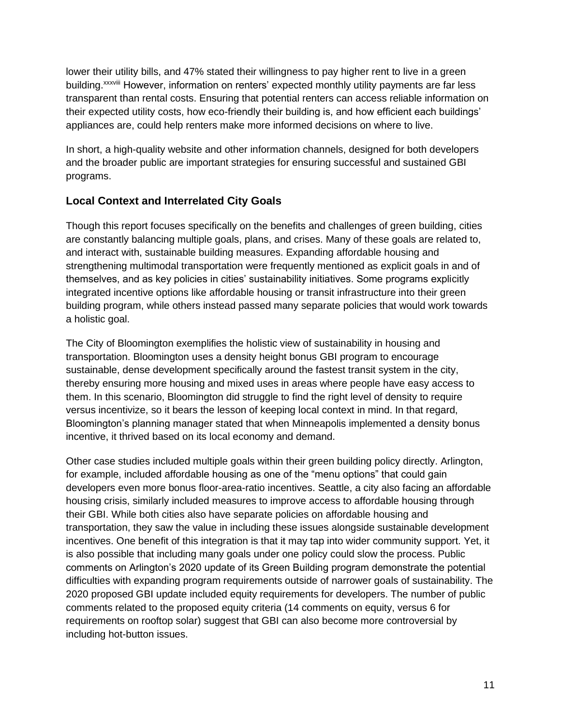lower their utility bills, and 47% stated their willingness to pay higher rent to live in a green building.<sup>xxxviii</sup> However, information on renters' expected monthly utility payments are far less transparent than rental costs. Ensuring that potential renters can access reliable information on their expected utility costs, how eco-friendly their building is, and how efficient each buildings' appliances are, could help renters make more informed decisions on where to live.

In short, a high-quality website and other information channels, designed for both developers and the broader public are important strategies for ensuring successful and sustained GBI programs.

### **Local Context and Interrelated City Goals**

Though this report focuses specifically on the benefits and challenges of green building, cities are constantly balancing multiple goals, plans, and crises. Many of these goals are related to, and interact with, sustainable building measures. Expanding affordable housing and strengthening multimodal transportation were frequently mentioned as explicit goals in and of themselves, and as key policies in cities' sustainability initiatives. Some programs explicitly integrated incentive options like affordable housing or transit infrastructure into their green building program, while others instead passed many separate policies that would work towards a holistic goal.

The City of Bloomington exemplifies the holistic view of sustainability in housing and transportation. Bloomington uses a density height bonus GBI program to encourage sustainable, dense development specifically around the fastest transit system in the city, thereby ensuring more housing and mixed uses in areas where people have easy access to them. In this scenario, Bloomington did struggle to find the right level of density to require versus incentivize, so it bears the lesson of keeping local context in mind. In that regard, Bloomington's planning manager stated that when Minneapolis implemented a density bonus incentive, it thrived based on its local economy and demand.

Other case studies included multiple goals within their green building policy directly. Arlington, for example, included affordable housing as one of the "menu options" that could gain developers even more bonus floor-area-ratio incentives. Seattle, a city also facing an affordable housing crisis, similarly included measures to improve access to affordable housing through their GBI. While both cities also have separate policies on affordable housing and transportation, they saw the value in including these issues alongside sustainable development incentives. One benefit of this integration is that it may tap into wider community support. Yet, it is also possible that including many goals under one policy could slow the process. Public comments on Arlington's 2020 update of its Green Building program demonstrate the potential difficulties with expanding program requirements outside of narrower goals of sustainability. The 2020 proposed GBI update included equity requirements for developers. The number of public comments related to the proposed equity criteria (14 comments on equity, versus 6 for requirements on rooftop solar) suggest that GBI can also become more controversial by including hot-button issues.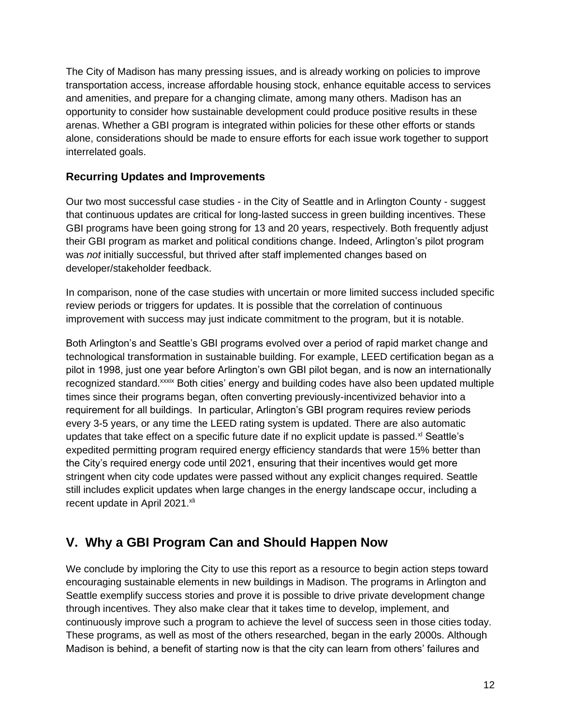The City of Madison has many pressing issues, and is already working on policies to improve transportation access, increase affordable housing stock, enhance equitable access to services and amenities, and prepare for a changing climate, among many others. Madison has an opportunity to consider how sustainable development could produce positive results in these arenas. Whether a GBI program is integrated within policies for these other efforts or stands alone, considerations should be made to ensure efforts for each issue work together to support interrelated goals.

### **Recurring Updates and Improvements**

Our two most successful case studies - in the City of Seattle and in Arlington County - suggest that continuous updates are critical for long-lasted success in green building incentives. These GBI programs have been going strong for 13 and 20 years, respectively. Both frequently adjust their GBI program as market and political conditions change. Indeed, Arlington's pilot program was *not* initially successful, but thrived after staff implemented changes based on developer/stakeholder feedback.

In comparison, none of the case studies with uncertain or more limited success included specific review periods or triggers for updates. It is possible that the correlation of continuous improvement with success may just indicate commitment to the program, but it is notable.

Both Arlington's and Seattle's GBI programs evolved over a period of rapid market change and technological transformation in sustainable building. For example, LEED certification began as a pilot in 1998, just one year before Arlington's own GBI pilot began, and is now an internationally recognized standard. xxxix Both cities' energy and building codes have also been updated multiple times since their programs began, often converting previously-incentivized behavior into a requirement for all buildings. In particular, Arlington's GBI program requires review periods every 3-5 years, or any time the LEED rating system is updated. There are also automatic updates that take effect on a specific future date if no explicit update is passed. $x<sup>i</sup>$  Seattle's expedited permitting program required energy efficiency standards that were 15% better than the City's required energy code until 2021, ensuring that their incentives would get more stringent when city code updates were passed without any explicit changes required. Seattle still includes explicit updates when large changes in the energy landscape occur, including a recent update in April 2021.<sup>xli</sup>

# **V. Why a GBI Program Can and Should Happen Now**

We conclude by imploring the City to use this report as a resource to begin action steps toward encouraging sustainable elements in new buildings in Madison. The programs in Arlington and Seattle exemplify success stories and prove it is possible to drive private development change through incentives. They also make clear that it takes time to develop, implement, and continuously improve such a program to achieve the level of success seen in those cities today. These programs, as well as most of the others researched, began in the early 2000s. Although Madison is behind, a benefit of starting now is that the city can learn from others' failures and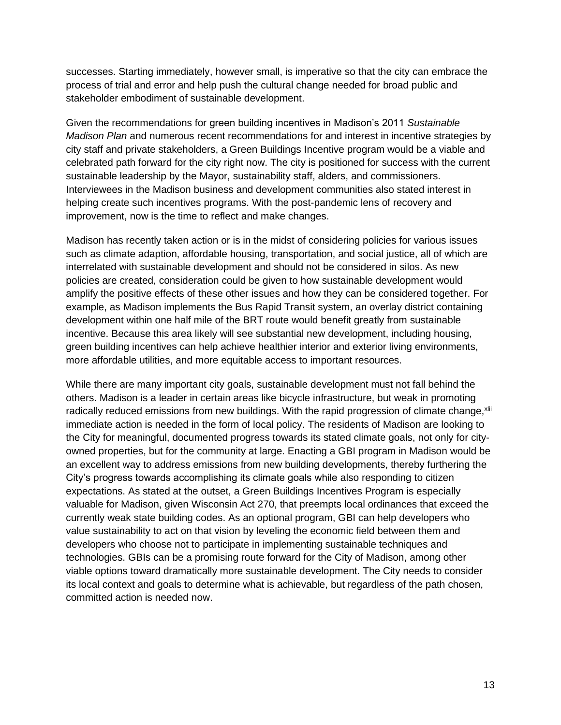successes. Starting immediately, however small, is imperative so that the city can embrace the process of trial and error and help push the cultural change needed for broad public and stakeholder embodiment of sustainable development.

Given the recommendations for green building incentives in Madison's 2011 *Sustainable Madison Plan* and numerous recent recommendations for and interest in incentive strategies by city staff and private stakeholders, a Green Buildings Incentive program would be a viable and celebrated path forward for the city right now. The city is positioned for success with the current sustainable leadership by the Mayor, sustainability staff, alders, and commissioners. Interviewees in the Madison business and development communities also stated interest in helping create such incentives programs. With the post-pandemic lens of recovery and improvement, now is the time to reflect and make changes.

Madison has recently taken action or is in the midst of considering policies for various issues such as climate adaption, affordable housing, transportation, and social justice, all of which are interrelated with sustainable development and should not be considered in silos. As new policies are created, consideration could be given to how sustainable development would amplify the positive effects of these other issues and how they can be considered together. For example, as Madison implements the Bus Rapid Transit system, an overlay district containing development within one half mile of the BRT route would benefit greatly from sustainable incentive. Because this area likely will see substantial new development, including housing, green building incentives can help achieve healthier interior and exterior living environments, more affordable utilities, and more equitable access to important resources.

While there are many important city goals, sustainable development must not fall behind the others. Madison is a leader in certain areas like bicycle infrastructure, but weak in promoting radically reduced emissions from new buildings. With the rapid progression of climate change, xlii immediate action is needed in the form of local policy. The residents of Madison are looking to the City for meaningful, documented progress towards its stated climate goals, not only for cityowned properties, but for the community at large. Enacting a GBI program in Madison would be an excellent way to address emissions from new building developments, thereby furthering the City's progress towards accomplishing its climate goals while also responding to citizen expectations. As stated at the outset, a Green Buildings Incentives Program is especially valuable for Madison, given Wisconsin Act 270, that preempts local ordinances that exceed the currently weak state building codes. As an optional program, GBI can help developers who value sustainability to act on that vision by leveling the economic field between them and developers who choose not to participate in implementing sustainable techniques and technologies. GBIs can be a promising route forward for the City of Madison, among other viable options toward dramatically more sustainable development. The City needs to consider its local context and goals to determine what is achievable, but regardless of the path chosen, committed action is needed now.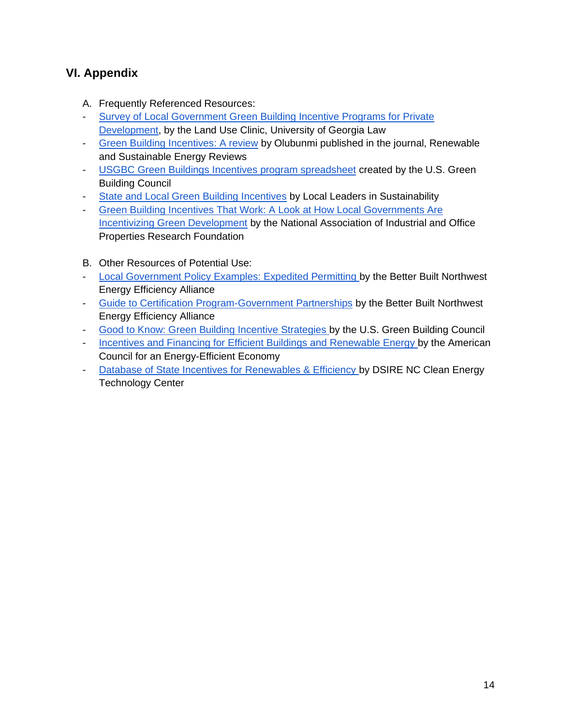# **VI. Appendix**

- A. Frequently Referenced Resources:
- [Survey of Local Government Green Building Incentive Programs for Private](https://digitalcommons.law.uga.edu/cgi/viewcontent.cgi?referer=https://scholar-google-com.ezproxy.library.wisc.edu/&httpsredir=1&article=1010&context=landuse)  [Development,](https://digitalcommons.law.uga.edu/cgi/viewcontent.cgi?referer=https://scholar-google-com.ezproxy.library.wisc.edu/&httpsredir=1&article=1010&context=landuse) by the Land Use Clinic, University of Georgia Law
- [Green Building Incentives: A review](https://doi.org/10.1016/j.rser.2016.01.028) by Olubunmi published in the journal, Renewable and Sustainable Energy Reviews
- [USGBC Green Buildings Incentives program spreadsheet](https://docs.google.com/spreadsheets/d/1JffdhHLHccMRiLp1zLKjJh4H1IhLIPNMe9lVwHqnxOE/edit?ts=60196b25#gid=0) created by the U.S. Green Building Council
- [State and Local Green Building Incentives](http://resources.cleanenergyroadmap.com/SCPP_Z_green-building-incentives.pdf) by Local Leaders in Sustainability
- [Green Building Incentives That Work: A Look at How Local Governments Are](https://www.naiop.org/~/media/Research/Research/Research%20Reports/Green%20Building%20Incentives%20That%20Work/greenbuildingincentives.ashx)  [Incentivizing Green Development](https://www.naiop.org/~/media/Research/Research/Research%20Reports/Green%20Building%20Incentives%20That%20Work/greenbuildingincentives.ashx) by the National Association of Industrial and Office Properties Research Foundation
- B. Other Resources of Potential Use:
- [Local Government Policy Examples: Expedited Permitting b](https://betterbuiltnw.com/assets/uploads/resources/bbnw-policy-examples-expedited-permitting-2018-06.pdf)y the Better Built Northwest Energy Efficiency Alliance
- [Guide to Certification Program-Government Partnerships](https://betterbuiltnw.com/assets/uploads/resources/new-homes-guide-to-home-certification-government-partnerships.pdf) by the Better Built Northwest Energy Efficiency Alliance
- [Good to Know: Green Building Incentive Strategies b](https://www.usgbc.org/articles/good-know-green-building-incentive-strategies-0)y the U.S. Green Building Council
- [Incentives and Financing for Efficient Buildings and Renewable Energy b](https://database.aceee.org/city/requirements-incentives)y the American Council for an Energy-Efficient Economy
- [Database of State Incentives for Renewables & Efficiency b](https://www.dsireusa.org/)y DSIRE NC Clean Energy Technology Center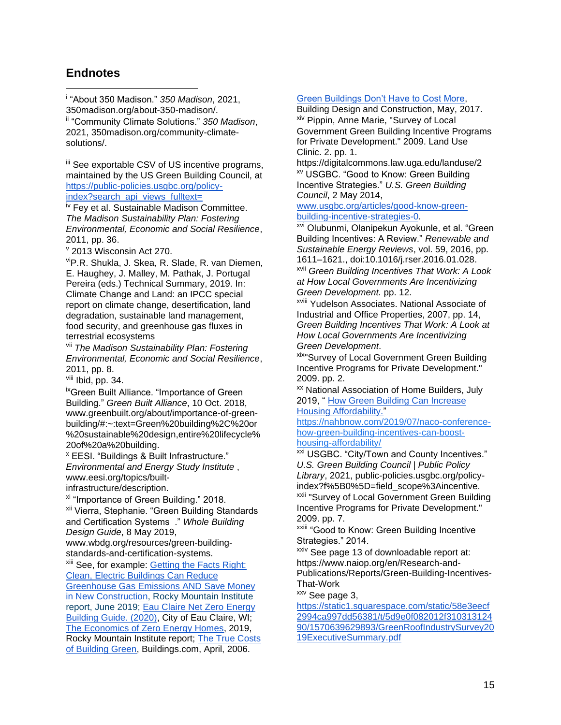### **Endnotes**

i "About 350 Madison." *350 Madison*, 2021, 350madison.org/about-350-madison/. ii "Community Climate Solutions." *350 Madison*, 2021, 350madison.org/community-climatesolutions/.

iii See exportable CSV of US incentive programs, maintained by the US Green Building Council, at [https://public-policies.usgbc.org/policy](https://public-policies.usgbc.org/policy-index?search_api_views_fulltext=)[index?search\\_api\\_views\\_fulltext=](https://public-policies.usgbc.org/policy-index?search_api_views_fulltext=)

iv Fey et al. Sustainable Madison Committee. *The Madison Sustainability Plan: Fostering Environmental, Economic and Social Resilience*, 2011, pp. 36.

<sup>v</sup> 2013 Wisconsin Act 270.

viP.R. Shukla, J. Skea, R. Slade, R. van Diemen, E. Haughey, J. Malley, M. Pathak, J. Portugal Pereira (eds.) Technical Summary, 2019. In: Climate Change and Land: an IPCC special report on climate change, desertification, land degradation, sustainable land management, food security, and greenhouse gas fluxes in terrestrial ecosystems

vii *The Madison Sustainability Plan: Fostering Environmental, Economic and Social Resilience*, 2011, pp. 8.

viii Ibid, pp. 34.

ixGreen Built Alliance. "Importance of Green Building." *Green Built Alliance*, 10 Oct. 2018, www.greenbuilt.org/about/importance-of-greenbuilding/#:~:text=Green%20building%2C%20or %20sustainable%20design,entire%20lifecycle% 20of%20a%20building.

<sup>x</sup> EESI. "Buildings & Built Infrastructure." *Environmental and Energy Study Institute* , www.eesi.org/topics/built-

infrastructure/description.

xi "Importance of Green Building." 2018.

xii Vierra, Stephanie. "Green Building Standards and Certification Systems ." *Whole Building Design Guide*, 8 May 2019,

www.wbdg.org/resources/green-buildingstandards-and-certification-systems.

xiii See, for example: [Getting the Facts Right:](https://rmi.org/getting-the-facts-right-clean-electric-buildings-can-reduce-greenhouse-gas-emissions-and-save-money-in-new-construction)  [Clean, Electric Buildings Can Reduce](https://rmi.org/getting-the-facts-right-clean-electric-buildings-can-reduce-greenhouse-gas-emissions-and-save-money-in-new-construction) 

[Greenhouse Gas Emissions AND Save Money](https://rmi.org/getting-the-facts-right-clean-electric-buildings-can-reduce-greenhouse-gas-emissions-and-save-money-in-new-construction)  [in New Construction,](https://rmi.org/getting-the-facts-right-clean-electric-buildings-can-reduce-greenhouse-gas-emissions-and-save-money-in-new-construction) Rocky Mountain Institute report, June 2019; [Eau Claire Net Zero Energy](https://drive.google.com/drive/folders/1x-zRB5CvgG8aa1Ui2RI0kzeFeXDyO6MV)  [Building Guide.](https://drive.google.com/drive/folders/1x-zRB5CvgG8aa1Ui2RI0kzeFeXDyO6MV) (2020), City of Eau Claire, WI; [The Economics of Zero Energy Homes,](https://drive.google.com/drive/folders/1x-zRB5CvgG8aa1Ui2RI0kzeFeXDyO6MV) 2019, Rocky Mountain Institute report; [The True Costs](https://www.buildings.com/articles/35659/true-costs-building-green)  [of Building Green,](https://www.buildings.com/articles/35659/true-costs-building-green) Buildings.com, April, 2006.

#### [Green Buildings Don't Have to Cost More,](https://www.bdcnetwork.com/blog/green-buildings-dont-have-cost-more)

Building Design and Construction, May, 2017. xiv Pippin, Anne Marie, "Survey of Local Government Green Building Incentive Programs for Private Development." 2009. Land Use Clinic. 2. pp. 1.

https://digitalcommons.law.uga.edu/landuse/2 xv USGBC. "Good to Know: Green Building Incentive Strategies." *U.S. Green Building Council*, 2 May 2014,

#### [www.usgbc.org/articles/good-know-green](http://www.usgbc.org/articles/good-know-green-building-incentive-strategies-0)[building-incentive-strategies-0.](http://www.usgbc.org/articles/good-know-green-building-incentive-strategies-0)

xvi Olubunmi, Olanipekun Ayokunle, et al. "Green Building Incentives: A Review." *Renewable and Sustainable Energy Reviews*, vol. 59, 2016, pp. 1611–1621., doi:10.1016/j.rser.2016.01.028.

xvii *Green Building Incentives That Work: A Look at How Local Governments Are Incentivizing Green Development.* pp. 12.

xviii Yudelson Associates. National Associate of Industrial and Office Properties, 2007, pp. 14, *Green Building Incentives That Work: A Look at How Local Governments Are Incentivizing Green Development*.

**xix"Survey of Local Government Green Building** Incentive Programs for Private Development." 2009. pp. 2.

xx National Association of Home Builders, July 2019, " [How Green Building Can Increase](https://nahbnow.com/2019/07/naco-conference-how-green-building-incentives-can-boost-housing-affordability/) 

[Housing Affordability."](https://nahbnow.com/2019/07/naco-conference-how-green-building-incentives-can-boost-housing-affordability/)

[https://nahbnow.com/2019/07/naco-conference](https://nahbnow.com/2019/07/naco-conference-how-green-building-incentives-can-boost-housing-affordability/)[how-green-building-incentives-can-boost](https://nahbnow.com/2019/07/naco-conference-how-green-building-incentives-can-boost-housing-affordability/)[housing-affordability/](https://nahbnow.com/2019/07/naco-conference-how-green-building-incentives-can-boost-housing-affordability/)

<sup>xxi</sup> USGBC. "City/Town and County Incentives." *U.S. Green Building Council | Public Policy Library*, 2021, public-policies.usgbc.org/policyindex?f%5B0%5D=field\_scope%3Aincentive. xxii "Survey of Local Government Green Building Incentive Programs for Private Development." 2009. pp. 7.

xxiii "Good to Know: Green Building Incentive Strategies." 2014.

xxiv See page 13 of downloadable report at: https://www.naiop.org/en/Research-and-Publications/Reports/Green-Building-Incentives-That-Work

xxv See page 3.

[https://static1.squarespace.com/static/58e3eecf](https://static1.squarespace.com/static/58e3eecf2994ca997dd56381/t/5d9e0f082012f31031312490/1570639629893/GreenRoofIndustrySurvey2019ExecutiveSummary.pdf) [2994ca997dd56381/t/5d9e0f082012f310313124](https://static1.squarespace.com/static/58e3eecf2994ca997dd56381/t/5d9e0f082012f31031312490/1570639629893/GreenRoofIndustrySurvey2019ExecutiveSummary.pdf) [90/1570639629893/GreenRoofIndustrySurvey20](https://static1.squarespace.com/static/58e3eecf2994ca997dd56381/t/5d9e0f082012f31031312490/1570639629893/GreenRoofIndustrySurvey2019ExecutiveSummary.pdf) [19ExecutiveSummary.pdf](https://static1.squarespace.com/static/58e3eecf2994ca997dd56381/t/5d9e0f082012f31031312490/1570639629893/GreenRoofIndustrySurvey2019ExecutiveSummary.pdf)